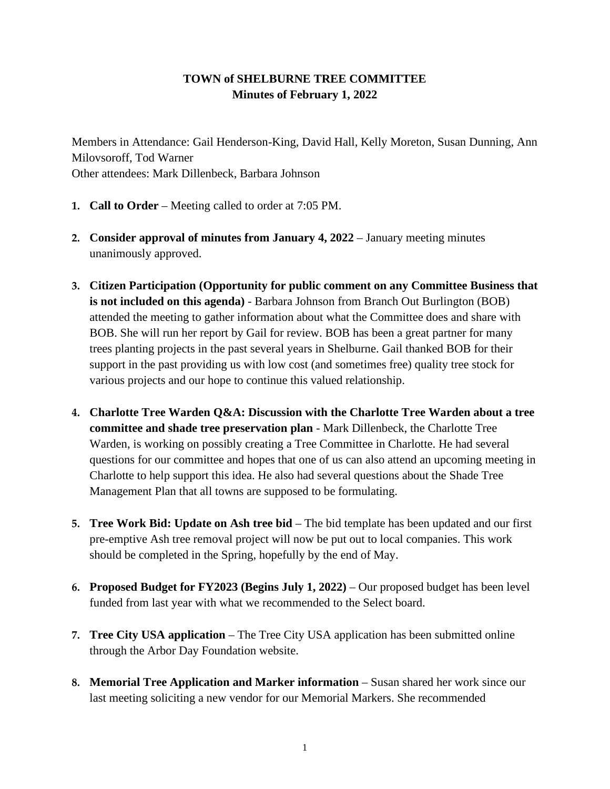## **TOWN of SHELBURNE TREE COMMITTEE Minutes of February 1, 2022**

Members in Attendance: Gail Henderson-King, David Hall, Kelly Moreton, Susan Dunning, Ann Milovsoroff, Tod Warner Other attendees: Mark Dillenbeck, Barbara Johnson

- **1. Call to Order** Meeting called to order at 7:05 PM.
- **2. Consider approval of minutes from January 4, 2022** January meeting minutes unanimously approved.
- **3. Citizen Participation (Opportunity for public comment on any Committee Business that is not included on this agenda)** - Barbara Johnson from Branch Out Burlington (BOB) attended the meeting to gather information about what the Committee does and share with BOB. She will run her report by Gail for review. BOB has been a great partner for many trees planting projects in the past several years in Shelburne. Gail thanked BOB for their support in the past providing us with low cost (and sometimes free) quality tree stock for various projects and our hope to continue this valued relationship.
- **4. Charlotte Tree Warden Q&A: Discussion with the Charlotte Tree Warden about a tree committee and shade tree preservation plan** - Mark Dillenbeck, the Charlotte Tree Warden, is working on possibly creating a Tree Committee in Charlotte. He had several questions for our committee and hopes that one of us can also attend an upcoming meeting in Charlotte to help support this idea. He also had several questions about the Shade Tree Management Plan that all towns are supposed to be formulating.
- **5. Tree Work Bid: Update on Ash tree bid**  The bid template has been updated and our first pre-emptive Ash tree removal project will now be put out to local companies. This work should be completed in the Spring, hopefully by the end of May.
- **6. Proposed Budget for FY2023 (Begins July 1, 2022)** Our proposed budget has been level funded from last year with what we recommended to the Select board.
- **7. Tree City USA application** The Tree City USA application has been submitted online through the Arbor Day Foundation website.
- **8. Memorial Tree Application and Marker information** Susan shared her work since our last meeting soliciting a new vendor for our Memorial Markers. She recommended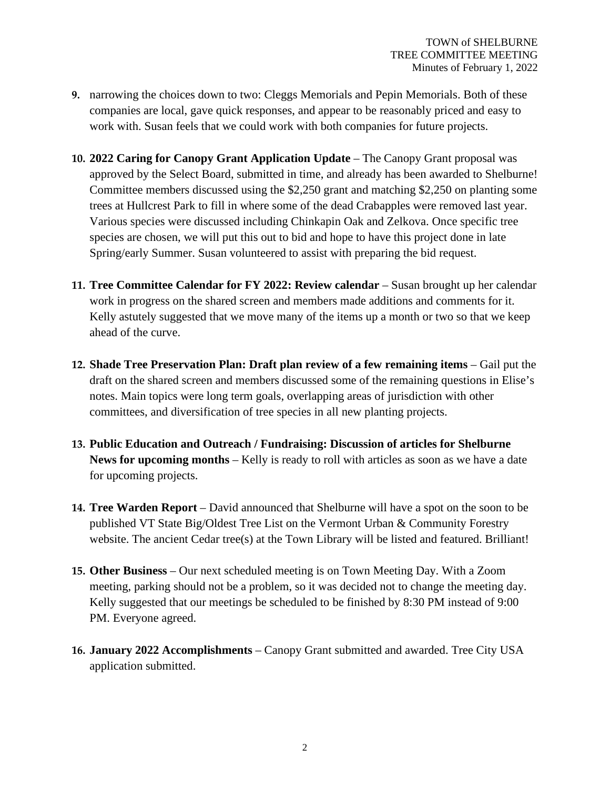- **9.** narrowing the choices down to two: Cleggs Memorials and Pepin Memorials. Both of these companies are local, gave quick responses, and appear to be reasonably priced and easy to work with. Susan feels that we could work with both companies for future projects.
- **10. 2022 Caring for Canopy Grant Application Update** The Canopy Grant proposal was approved by the Select Board, submitted in time, and already has been awarded to Shelburne! Committee members discussed using the \$2,250 grant and matching \$2,250 on planting some trees at Hullcrest Park to fill in where some of the dead Crabapples were removed last year. Various species were discussed including Chinkapin Oak and Zelkova. Once specific tree species are chosen, we will put this out to bid and hope to have this project done in late Spring/early Summer. Susan volunteered to assist with preparing the bid request.
- **11. Tree Committee Calendar for FY 2022: Review calendar** Susan brought up her calendar work in progress on the shared screen and members made additions and comments for it. Kelly astutely suggested that we move many of the items up a month or two so that we keep ahead of the curve.
- **12. Shade Tree Preservation Plan: Draft plan review of a few remaining items** Gail put the draft on the shared screen and members discussed some of the remaining questions in Elise's notes. Main topics were long term goals, overlapping areas of jurisdiction with other committees, and diversification of tree species in all new planting projects.
- **13. Public Education and Outreach / Fundraising: Discussion of articles for Shelburne News for upcoming months** – Kelly is ready to roll with articles as soon as we have a date for upcoming projects.
- **14. Tree Warden Report** David announced that Shelburne will have a spot on the soon to be published VT State Big/Oldest Tree List on the Vermont Urban & Community Forestry website. The ancient Cedar tree(s) at the Town Library will be listed and featured. Brilliant!
- **15. Other Business**  Our next scheduled meeting is on Town Meeting Day. With a Zoom meeting, parking should not be a problem, so it was decided not to change the meeting day. Kelly suggested that our meetings be scheduled to be finished by 8:30 PM instead of 9:00 PM. Everyone agreed.
- **16. January 2022 Accomplishments** Canopy Grant submitted and awarded. Tree City USA application submitted.